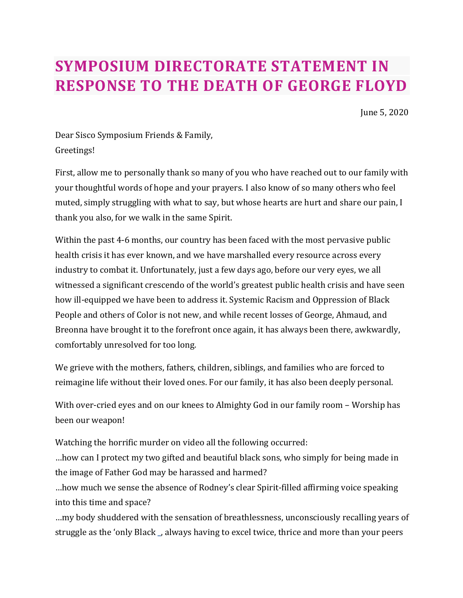## **SYMPOSIUM DIRECTORATE STATEMENT IN RESPONSE TO THE DEATH OF GEORGE FLOYD**

June 5, 2020

Dear Sisco Symposium Friends & Family, Greetings!

First, allow me to personally thank so many of you who have reached out to our family with your thoughtful words of hope and your prayers. I also know of so many others who feel muted, simply struggling with what to say, but whose hearts are hurt and share our pain, I thank you also, for we walk in the same Spirit.

Within the past 4-6 months, our country has been faced with the most pervasive public health crisis it has ever known, and we have marshalled every resource across every industry to combat it. Unfortunately, just a few days ago, before our very eyes, we all witnessed a significant crescendo of the world's greatest public health crisis and have seen how ill-equipped we have been to address it. Systemic Racism and Oppression of Black People and others of Color is not new, and while recent losses of George, Ahmaud, and Breonna have brought it to the forefront once again, it has always been there, awkwardly, comfortably unresolved for too long.

We grieve with the mothers, fathers, children, siblings, and families who are forced to reimagine life without their loved ones. For our family, it has also been deeply personal.

With over-cried eyes and on our knees to Almighty God in our family room - Worship has been our weapon!

Watching the horrific murder on video all the following occurred:

...how can I protect my two gifted and beautiful black sons, who simply for being made in the image of Father God may be harassed and harmed?

...how much we sense the absence of Rodney's clear Spirit-filled affirming voice speaking into this time and space?

...my body shuddered with the sensation of breathlessness, unconsciously recalling years of struggle as the 'only Black, always having to excel twice, thrice and more than your peers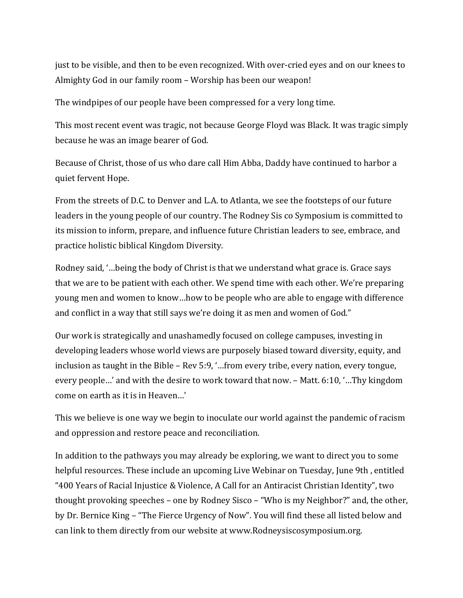just to be visible, and then to be even recognized. With over-cried eyes and on our knees to Almighty God in our family room – Worship has been our weapon!

The windpipes of our people have been compressed for a very long time.

This most recent event was tragic, not because George Floyd was Black. It was tragic simply because he was an image bearer of God.

Because of Christ, those of us who dare call Him Abba, Daddy have continued to harbor a quiet fervent Hope.

From the streets of D.C. to Denver and L.A. to Atlanta, we see the footsteps of our future leaders in the young people of our country. The Rodney Sis co Symposium is committed to its mission to inform, prepare, and influence future Christian leaders to see, embrace, and practice holistic biblical Kingdom Diversity.

Rodney said, '...being the body of Christ is that we understand what grace is. Grace says that we are to be patient with each other. We spend time with each other. We're preparing young men and women to know...how to be people who are able to engage with difference and conflict in a way that still says we're doing it as men and women of God."

Our work is strategically and unashamedly focused on college campuses, investing in developing leaders whose world views are purposely biased toward diversity, equity, and inclusion as taught in the Bible  $-$  Rev 5:9, '...from every tribe, every nation, every tongue, every people...' and with the desire to work toward that now. - Matt. 6:10, '...Thy kingdom come on earth as it is in Heaven...'

This we believe is one way we begin to inoculate our world against the pandemic of racism and oppression and restore peace and reconciliation.

In addition to the pathways you may already be exploring, we want to direct you to some helpful resources. These include an upcoming Live Webinar on Tuesday, June 9th, entitled "400 Years of Racial Injustice & Violence, A Call for an Antiracist Christian Identity", two thought provoking speeches – one by Rodney Sisco – "Who is my Neighbor?" and, the other, by Dr. Bernice King – "The Fierce Urgency of Now". You will find these all listed below and can link to them directly from our website at www.Rodneysiscosymposium.org.